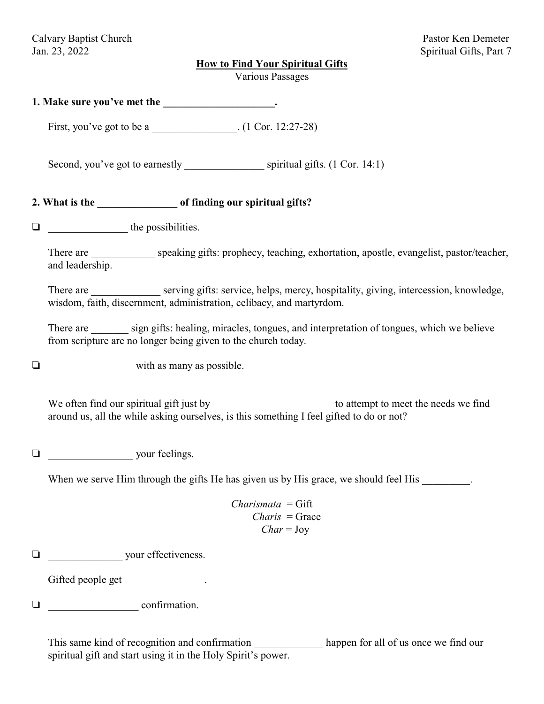#### **How to Find Your Spiritual Gifts**

Various Passages

| 1. Make sure you've met the |  |
|-----------------------------|--|
|-----------------------------|--|

First, you've got to be a \_\_\_\_\_\_\_\_\_\_\_\_\_\_\_\_\_\_\_. (1 Cor. 12:27-28)

Second, you've got to earnestly spiritual gifts. (1 Cor. 14:1)

# **2. What is the \_\_\_\_\_\_\_\_\_\_\_\_\_\_\_ of finding our spiritual gifts?**

\_\_\_\_\_\_\_\_\_\_\_\_\_\_\_ the possibilities.

There are \_\_\_\_\_\_\_\_\_\_\_\_ speaking gifts: prophecy, teaching, exhortation, apostle, evangelist, pastor/teacher, and leadership.

There are \_\_\_\_\_\_\_\_\_\_\_\_\_ serving gifts: service, helps, mercy, hospitality, giving, intercession, knowledge, wisdom, faith, discernment, administration, celibacy, and martyrdom.

There are sign gifts: healing, miracles, tongues, and interpretation of tongues, which we believe from scripture are no longer being given to the church today.

 $\Box$ 

We often find our spiritual gift just by \_\_\_\_\_\_\_\_\_\_\_\_\_\_\_\_\_\_\_\_\_\_\_\_\_\_ to attempt to meet the needs we find around us, all the while asking ourselves, is this something I feel gifted to do or not?

 $\Box$  your feelings.

When we serve Him through the gifts He has given us by His grace, we should feel His  $\cdot$ 

*Charismata* = Gift  *Charis* = Grace  *Char* = Joy

 $\Box$  your effectiveness.

Gifted people get \_\_\_\_\_\_\_\_\_\_\_\_\_\_\_.

\_\_\_\_\_\_\_\_\_\_\_\_\_\_\_\_\_ confirmation.

This same kind of recognition and confirmation happen for all of us once we find our spiritual gift and start using it in the Holy Spirit's power.